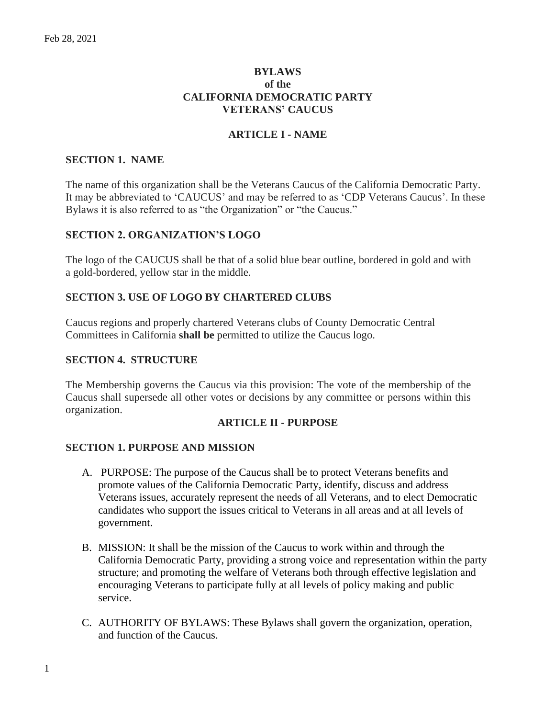# **BYLAWS of the CALIFORNIA DEMOCRATIC PARTY VETERANS' CAUCUS**

# **ARTICLE I - NAME**

# **SECTION 1. NAME**

The name of this organization shall be the Veterans Caucus of the California Democratic Party. It may be abbreviated to 'CAUCUS' and may be referred to as 'CDP Veterans Caucus'. In these Bylaws it is also referred to as "the Organization" or "the Caucus."

# **SECTION 2. ORGANIZATION'S LOGO**

The logo of the CAUCUS shall be that of a solid blue bear outline, bordered in gold and with a gold-bordered, yellow star in the middle.

### **SECTION 3. USE OF LOGO BY CHARTERED CLUBS**

Caucus regions and properly chartered Veterans clubs of County Democratic Central Committees in California **shall be** permitted to utilize the Caucus logo.

### **SECTION 4. STRUCTURE**

The Membership governs the Caucus via this provision: The vote of the membership of the Caucus shall supersede all other votes or decisions by any committee or persons within this organization.

#### **ARTICLE II - PURPOSE**

#### **SECTION 1. PURPOSE AND MISSION**

- A. PURPOSE: The purpose of the Caucus shall be to protect Veterans benefits and promote values of the California Democratic Party, identify, discuss and address Veterans issues, accurately represent the needs of all Veterans, and to elect Democratic candidates who support the issues critical to Veterans in all areas and at all levels of government.
- B. MISSION: It shall be the mission of the Caucus to work within and through the California Democratic Party, providing a strong voice and representation within the party structure; and promoting the welfare of Veterans both through effective legislation and encouraging Veterans to participate fully at all levels of policy making and public service.
- C. AUTHORITY OF BYLAWS: These Bylaws shall govern the organization, operation, and function of the Caucus.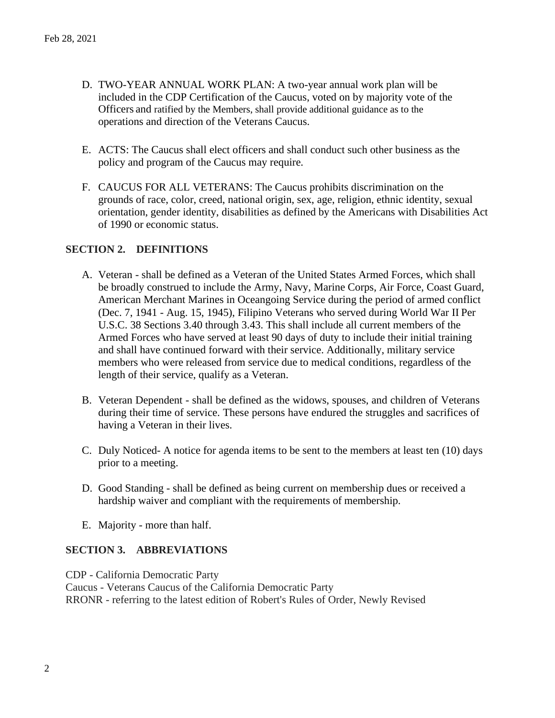- D. TWO-YEAR ANNUAL WORK PLAN: A two-year annual work plan will be included in the CDP Certification of the Caucus, voted on by majority vote of the Officers and ratified by the Members, shall provide additional guidance as to the operations and direction of the Veterans Caucus.
- E. ACTS: The Caucus shall elect officers and shall conduct such other business as the policy and program of the Caucus may require.
- F. CAUCUS FOR ALL VETERANS: The Caucus prohibits discrimination on the grounds of race, color, creed, national origin, sex, age, religion, ethnic identity, sexual orientation, gender identity, disabilities as defined by the Americans with Disabilities Act of 1990 or economic status.

# **SECTION 2. DEFINITIONS**

- A. Veteran shall be defined as a Veteran of the United States Armed Forces, which shall be broadly construed to include the Army, Navy, Marine Corps, Air Force, Coast Guard, American Merchant Marines in Oceangoing Service during the period of armed conflict (Dec. 7, 1941 - Aug. 15, 1945), Filipino Veterans who served during World War II Per U.S.C. 38 Sections 3.40 through 3.43. This shall include all current members of the Armed Forces who have served at least 90 days of duty to include their initial training and shall have continued forward with their service. Additionally, military service members who were released from service due to medical conditions, regardless of the length of their service, qualify as a Veteran.
- B. Veteran Dependent shall be defined as the widows, spouses, and children of Veterans during their time of service. These persons have endured the struggles and sacrifices of having a Veteran in their lives.
- C. Duly Noticed- A notice for agenda items to be sent to the members at least ten (10) days prior to a meeting.
- D. Good Standing shall be defined as being current on membership dues or received a hardship waiver and compliant with the requirements of membership.
- E. Majority more than half.

### **SECTION 3. ABBREVIATIONS**

CDP - California Democratic Party Caucus - Veterans Caucus of the California Democratic Party RRONR - referring to the latest edition of Robert's Rules of Order, Newly Revised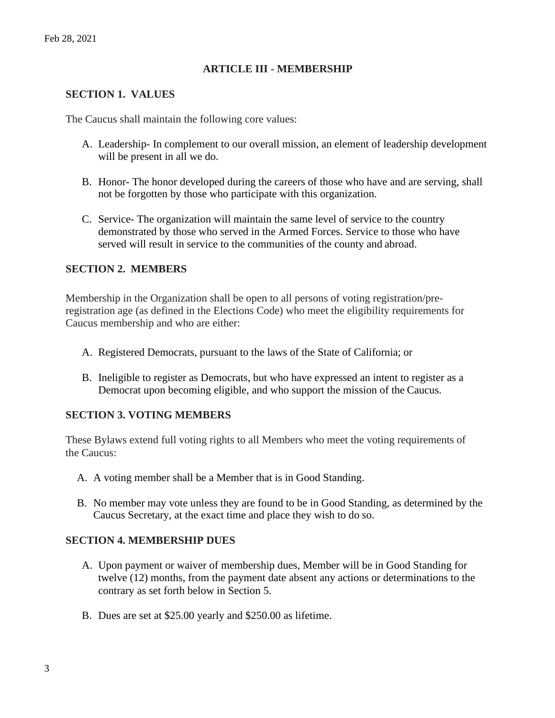### **ARTICLE III - MEMBERSHIP**

#### **SECTION 1. VALUES**

The Caucus shall maintain the following core values:

- A. Leadership- In complement to our overall mission, an element of leadership development will be present in all we do.
- B. Honor- The honor developed during the careers of those who have and are serving, shall not be forgotten by those who participate with this organization.
- C. Service- The organization will maintain the same level of service to the country demonstrated by those who served in the Armed Forces. Service to those who have served will result in service to the communities of the county and abroad.

### **SECTION 2. MEMBERS**

Membership in the Organization shall be open to all persons of voting registration/preregistration age (as defined in the Elections Code) who meet the eligibility requirements for Caucus membership and who are either:

- A. Registered Democrats, pursuant to the laws of the State of California; or
- B. Ineligible to register as Democrats, but who have expressed an intent to register as a Democrat upon becoming eligible, and who support the mission of the Caucus.

### **SECTION 3. VOTING MEMBERS**

These Bylaws extend full voting rights to all Members who meet the voting requirements of the Caucus:

- A. A voting member shall be a Member that is in Good Standing.
- B. No member may vote unless they are found to be in Good Standing, as determined by the Caucus Secretary, at the exact time and place they wish to do so.

### **SECTION 4. MEMBERSHIP DUES**

- A. Upon payment or waiver of membership dues, Member will be in Good Standing for twelve (12) months, from the payment date absent any actions or determinations to the contrary as set forth below in Section 5.
- B. Dues are set at \$25.00 yearly and \$250.00 as lifetime.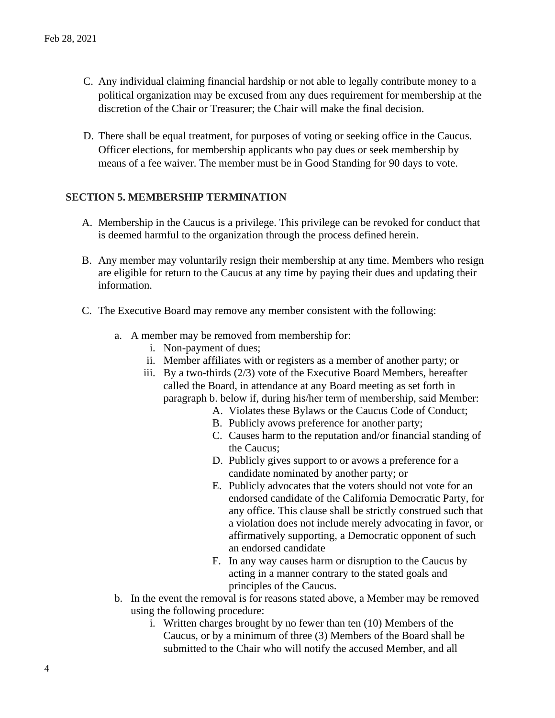- C. Any individual claiming financial hardship or not able to legally contribute money to a political organization may be excused from any dues requirement for membership at the discretion of the Chair or Treasurer; the Chair will make the final decision.
- D. There shall be equal treatment, for purposes of voting or seeking office in the Caucus. Officer elections, for membership applicants who pay dues or seek membership by means of a fee waiver. The member must be in Good Standing for 90 days to vote.

# **SECTION 5. MEMBERSHIP TERMINATION**

- A. Membership in the Caucus is a privilege. This privilege can be revoked for conduct that is deemed harmful to the organization through the process defined herein.
- B. Any member may voluntarily resign their membership at any time. Members who resign are eligible for return to the Caucus at any time by paying their dues and updating their information.
- C. The Executive Board may remove any member consistent with the following:
	- a. A member may be removed from membership for:
		- i. Non-payment of dues;
		- ii. Member affiliates with or registers as a member of another party; or
		- iii. By a two-thirds (2/3) vote of the Executive Board Members, hereafter called the Board, in attendance at any Board meeting as set forth in paragraph b. below if, during his/her term of membership, said Member:
			- A. Violates these Bylaws or the Caucus Code of Conduct;
			- B. Publicly avows preference for another party;
			- C. Causes harm to the reputation and/or financial standing of the Caucus;
			- D. Publicly gives support to or avows a preference for a candidate nominated by another party; or
			- E. Publicly advocates that the voters should not vote for an endorsed candidate of the California Democratic Party, for any office. This clause shall be strictly construed such that a violation does not include merely advocating in favor, or affirmatively supporting, a Democratic opponent of such an endorsed candidate
			- F. In any way causes harm or disruption to the Caucus by acting in a manner contrary to the stated goals and principles of the Caucus.
	- b. In the event the removal is for reasons stated above, a Member may be removed using the following procedure:
		- i. Written charges brought by no fewer than ten (10) Members of the Caucus, or by a minimum of three (3) Members of the Board shall be submitted to the Chair who will notify the accused Member, and all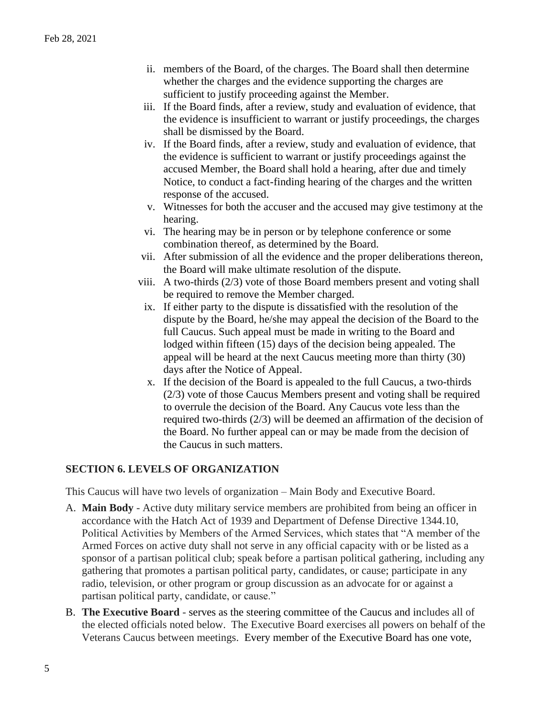- ii. members of the Board, of the charges. The Board shall then determine whether the charges and the evidence supporting the charges are sufficient to justify proceeding against the Member.
- iii. If the Board finds, after a review, study and evaluation of evidence, that the evidence is insufficient to warrant or justify proceedings, the charges shall be dismissed by the Board.
- iv. If the Board finds, after a review, study and evaluation of evidence, that the evidence is sufficient to warrant or justify proceedings against the accused Member, the Board shall hold a hearing, after due and timely Notice, to conduct a fact-finding hearing of the charges and the written response of the accused.
- v. Witnesses for both the accuser and the accused may give testimony at the hearing.
- vi. The hearing may be in person or by telephone conference or some combination thereof, as determined by the Board.
- vii. After submission of all the evidence and the proper deliberations thereon, the Board will make ultimate resolution of the dispute.
- viii. A two-thirds (2/3) vote of those Board members present and voting shall be required to remove the Member charged.
- ix. If either party to the dispute is dissatisfied with the resolution of the dispute by the Board, he/she may appeal the decision of the Board to the full Caucus. Such appeal must be made in writing to the Board and lodged within fifteen (15) days of the decision being appealed. The appeal will be heard at the next Caucus meeting more than thirty (30) days after the Notice of Appeal.
- x. If the decision of the Board is appealed to the full Caucus, a two-thirds (2/3) vote of those Caucus Members present and voting shall be required to overrule the decision of the Board. Any Caucus vote less than the required two-thirds (2/3) will be deemed an affirmation of the decision of the Board. No further appeal can or may be made from the decision of the Caucus in such matters.

# **SECTION 6. LEVELS OF ORGANIZATION**

This Caucus will have two levels of organization – Main Body and Executive Board.

- A. **Main Body** Active duty military service members are prohibited from being an officer in accordance with the Hatch Act of 1939 and Department of Defense Directive 1344.10, Political Activities by Members of the Armed Services, which states that "A member of the Armed Forces on active duty shall not serve in any official capacity with or be listed as a sponsor of a partisan political club; speak before a partisan political gathering, including any gathering that promotes a partisan political party, candidates, or cause; participate in any radio, television, or other program or group discussion as an advocate for or against a partisan political party, candidate, or cause."
- B. **The Executive Board**  serves as the steering committee of the Caucus and includes all of the elected officials noted below. The Executive Board exercises all powers on behalf of the Veterans Caucus between meetings. Every member of the Executive Board has one vote,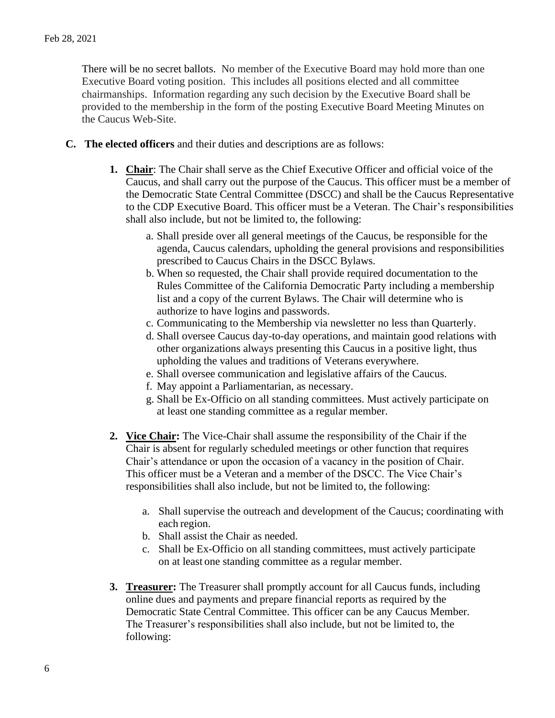There will be no secret ballots. No member of the Executive Board may hold more than one Executive Board voting position. This includes all positions elected and all committee chairmanships. Information regarding any such decision by the Executive Board shall be provided to the membership in the form of the posting Executive Board Meeting Minutes on the Caucus Web-Site.

- **C. The elected officers** and their duties and descriptions are as follows:
	- **1. Chair**: The Chair shall serve as the Chief Executive Officer and official voice of the Caucus, and shall carry out the purpose of the Caucus. This officer must be a member of the Democratic State Central Committee (DSCC) and shall be the Caucus Representative to the CDP Executive Board. This officer must be a Veteran. The Chair's responsibilities shall also include, but not be limited to, the following:
		- a. Shall preside over all general meetings of the Caucus, be responsible for the agenda, Caucus calendars, upholding the general provisions and responsibilities prescribed to Caucus Chairs in the DSCC Bylaws.
		- b. When so requested, the Chair shall provide required documentation to the Rules Committee of the California Democratic Party including a membership list and a copy of the current Bylaws. The Chair will determine who is authorize to have logins and passwords.
		- c. Communicating to the Membership via newsletter no less than Quarterly.
		- d. Shall oversee Caucus day-to-day operations, and maintain good relations with other organizations always presenting this Caucus in a positive light, thus upholding the values and traditions of Veterans everywhere.
		- e. Shall oversee communication and legislative affairs of the Caucus.
		- f. May appoint a Parliamentarian, as necessary.
		- g. Shall be Ex-Officio on all standing committees. Must actively participate on at least one standing committee as a regular member.
	- **2. Vice Chair:** The Vice-Chair shall assume the responsibility of the Chair if the Chair is absent for regularly scheduled meetings or other function that requires Chair's attendance or upon the occasion of a vacancy in the position of Chair. This officer must be a Veteran and a member of the DSCC. The Vice Chair's responsibilities shall also include, but not be limited to, the following:
		- a. Shall supervise the outreach and development of the Caucus; coordinating with each region.
		- b. Shall assist the Chair as needed.
		- c. Shall be Ex-Officio on all standing committees, must actively participate on at least one standing committee as a regular member.
	- **3. Treasurer:** The Treasurer shall promptly account for all Caucus funds, including online dues and payments and prepare financial reports as required by the Democratic State Central Committee. This officer can be any Caucus Member. The Treasurer's responsibilities shall also include, but not be limited to, the following: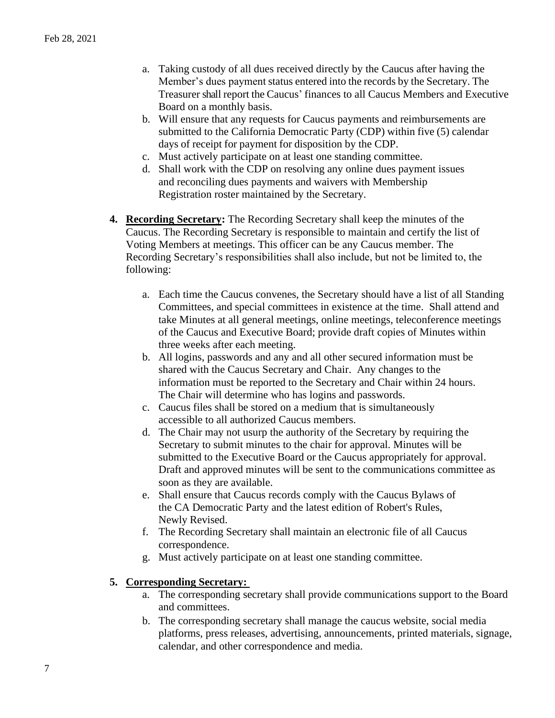- a. Taking custody of all dues received directly by the Caucus after having the Member's dues payment status entered into the records by the Secretary. The Treasurer shall report the Caucus' finances to all Caucus Members and Executive Board on a monthly basis.
- b. Will ensure that any requests for Caucus payments and reimbursements are submitted to the California Democratic Party (CDP) within five (5) calendar days of receipt for payment for disposition by the CDP.
- c. Must actively participate on at least one standing committee.
- d. Shall work with the CDP on resolving any online dues payment issues and reconciling dues payments and waivers with Membership Registration roster maintained by the Secretary.
- **4. Recording Secretary:** The Recording Secretary shall keep the minutes of the Caucus. The Recording Secretary is responsible to maintain and certify the list of Voting Members at meetings. This officer can be any Caucus member. The Recording Secretary's responsibilities shall also include, but not be limited to, the following:
	- a. Each time the Caucus convenes, the Secretary should have a list of all Standing Committees, and special committees in existence at the time. Shall attend and take Minutes at all general meetings, online meetings, teleconference meetings of the Caucus and Executive Board; provide draft copies of Minutes within three weeks after each meeting.
	- b. All logins, passwords and any and all other secured information must be shared with the Caucus Secretary and Chair. Any changes to the information must be reported to the Secretary and Chair within 24 hours. The Chair will determine who has logins and passwords.
	- c. Caucus files shall be stored on a medium that is simultaneously accessible to all authorized Caucus members.
	- d. The Chair may not usurp the authority of the Secretary by requiring the Secretary to submit minutes to the chair for approval. Minutes will be submitted to the Executive Board or the Caucus appropriately for approval. Draft and approved minutes will be sent to the communications committee as soon as they are available.
	- e. Shall ensure that Caucus records comply with the Caucus Bylaws of the CA Democratic Party and the latest edition of Robert's Rules, Newly Revised.
	- f. The Recording Secretary shall maintain an electronic file of all Caucus correspondence.
	- g. Must actively participate on at least one standing committee.

# **5. Corresponding Secretary:**

- a. The corresponding secretary shall provide communications support to the Board and committees.
- b. The corresponding secretary shall manage the caucus website, social media platforms, press releases, advertising, announcements, printed materials, signage, calendar, and other correspondence and media.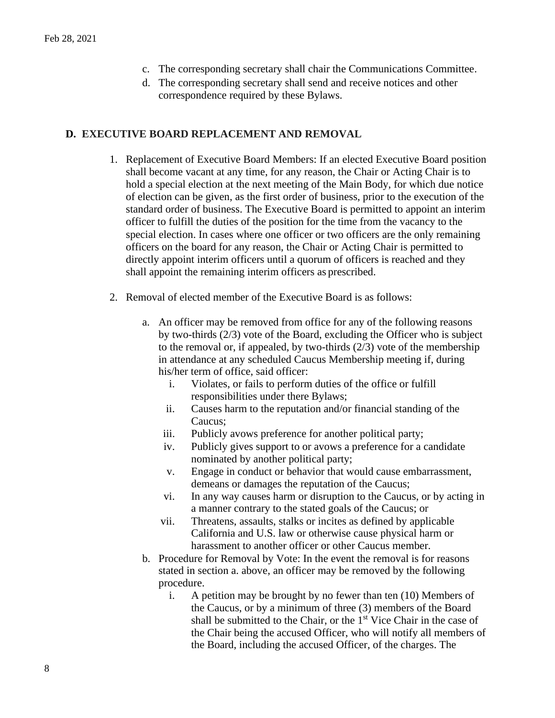- c. The corresponding secretary shall chair the Communications Committee.
- d. The corresponding secretary shall send and receive notices and other correspondence required by these Bylaws.

### **D. EXECUTIVE BOARD REPLACEMENT AND REMOVAL**

- 1. Replacement of Executive Board Members: If an elected Executive Board position shall become vacant at any time, for any reason, the Chair or Acting Chair is to hold a special election at the next meeting of the Main Body, for which due notice of election can be given, as the first order of business, prior to the execution of the standard order of business. The Executive Board is permitted to appoint an interim officer to fulfill the duties of the position for the time from the vacancy to the special election. In cases where one officer or two officers are the only remaining officers on the board for any reason, the Chair or Acting Chair is permitted to directly appoint interim officers until a quorum of officers is reached and they shall appoint the remaining interim officers as prescribed.
- 2. Removal of elected member of the Executive Board is as follows:
	- a. An officer may be removed from office for any of the following reasons by two-thirds (2/3) vote of the Board, excluding the Officer who is subject to the removal or, if appealed, by two-thirds (2/3) vote of the membership in attendance at any scheduled Caucus Membership meeting if, during his/her term of office, said officer:
		- i. Violates, or fails to perform duties of the office or fulfill responsibilities under there Bylaws;
		- ii. Causes harm to the reputation and/or financial standing of the Caucus;
		- iii. Publicly avows preference for another political party;
		- iv. Publicly gives support to or avows a preference for a candidate nominated by another political party;
		- v. Engage in conduct or behavior that would cause embarrassment, demeans or damages the reputation of the Caucus;
		- vi. In any way causes harm or disruption to the Caucus, or by acting in a manner contrary to the stated goals of the Caucus; or
		- vii. Threatens, assaults, stalks or incites as defined by applicable California and U.S. law or otherwise cause physical harm or harassment to another officer or other Caucus member.
	- b. Procedure for Removal by Vote: In the event the removal is for reasons stated in section a. above, an officer may be removed by the following procedure.
		- i. A petition may be brought by no fewer than ten (10) Members of the Caucus, or by a minimum of three (3) members of the Board shall be submitted to the Chair, or the 1<sup>st</sup> Vice Chair in the case of the Chair being the accused Officer, who will notify all members of the Board, including the accused Officer, of the charges. The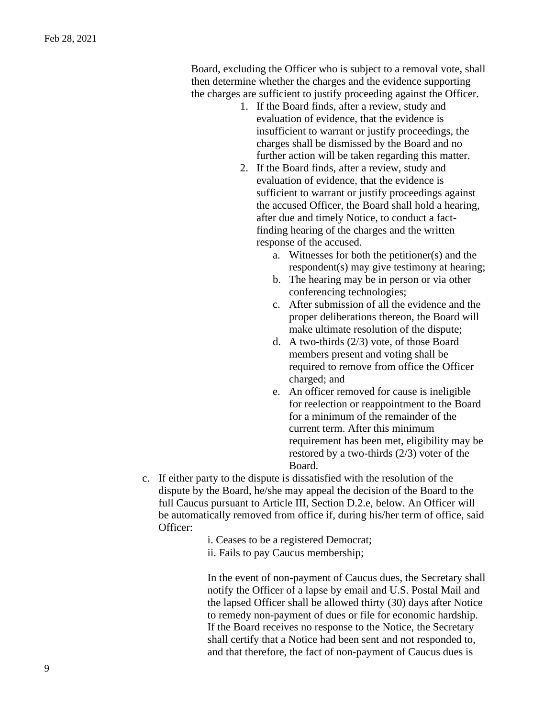Board, excluding the Officer who is subject to a removal vote, shall then determine whether the charges and the evidence supporting the charges are sufficient to justify proceeding against the Officer.

- 1. If the Board finds, after a review, study and evaluation of evidence, that the evidence is insufficient to warrant or justify proceedings, the charges shall be dismissed by the Board and no further action will be taken regarding this matter.
- 2. If the Board finds, after a review, study and evaluation of evidence, that the evidence is sufficient to warrant or justify proceedings against the accused Officer, the Board shall hold a hearing, after due and timely Notice, to conduct a factfinding hearing of the charges and the written response of the accused.
	- a. Witnesses for both the petitioner(s) and the respondent(s) may give testimony at hearing;
	- b. The hearing may be in person or via other conferencing technologies;
	- c. After submission of all the evidence and the proper deliberations thereon, the Board will make ultimate resolution of the dispute;
	- d. A two-thirds (2/3) vote, of those Board members present and voting shall be required to remove from office the Officer charged; and
	- e. An officer removed for cause is ineligible for reelection or reappointment to the Board for a minimum of the remainder of the current term. After this minimum requirement has been met, eligibility may be restored by a two-thirds (2/3) voter of the Board.
- c. If either party to the dispute is dissatisfied with the resolution of the dispute by the Board, he/she may appeal the decision of the Board to the full Caucus pursuant to Article III, Section D.2.e, below. An Officer will be automatically removed from office if, during his/her term of office, said Officer:
	- i. Ceases to be a registered Democrat;
	- ii. Fails to pay Caucus membership;

In the event of non-payment of Caucus dues, the Secretary shall notify the Officer of a lapse by email and U.S. Postal Mail and the lapsed Officer shall be allowed thirty (30) days after Notice to remedy non-payment of dues or file for economic hardship. If the Board receives no response to the Notice, the Secretary shall certify that a Notice had been sent and not responded to, and that therefore, the fact of non-payment of Caucus dues is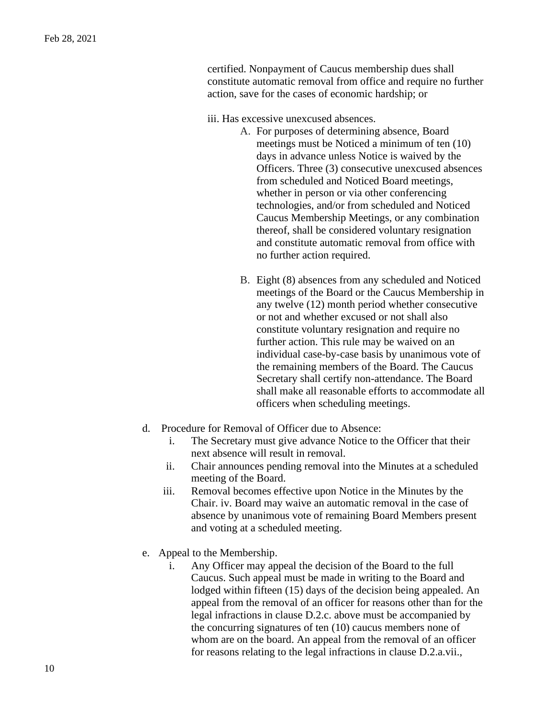certified. Nonpayment of Caucus membership dues shall constitute automatic removal from office and require no further action, save for the cases of economic hardship; or

iii. Has excessive unexcused absences.

- A. For purposes of determining absence, Board meetings must be Noticed a minimum of ten (10) days in advance unless Notice is waived by the Officers. Three (3) consecutive unexcused absences from scheduled and Noticed Board meetings, whether in person or via other conferencing technologies, and/or from scheduled and Noticed Caucus Membership Meetings, or any combination thereof, shall be considered voluntary resignation and constitute automatic removal from office with no further action required.
- B. Eight (8) absences from any scheduled and Noticed meetings of the Board or the Caucus Membership in any twelve (12) month period whether consecutive or not and whether excused or not shall also constitute voluntary resignation and require no further action. This rule may be waived on an individual case-by-case basis by unanimous vote of the remaining members of the Board. The Caucus Secretary shall certify non-attendance. The Board shall make all reasonable efforts to accommodate all officers when scheduling meetings.
- d. Procedure for Removal of Officer due to Absence:
	- i. The Secretary must give advance Notice to the Officer that their next absence will result in removal.
	- ii. Chair announces pending removal into the Minutes at a scheduled meeting of the Board.
	- iii. Removal becomes effective upon Notice in the Minutes by the Chair. iv. Board may waive an automatic removal in the case of absence by unanimous vote of remaining Board Members present and voting at a scheduled meeting.
- e. Appeal to the Membership.
	- i. Any Officer may appeal the decision of the Board to the full Caucus. Such appeal must be made in writing to the Board and lodged within fifteen (15) days of the decision being appealed. An appeal from the removal of an officer for reasons other than for the legal infractions in clause D.2.c. above must be accompanied by the concurring signatures of ten (10) caucus members none of whom are on the board. An appeal from the removal of an officer for reasons relating to the legal infractions in clause D.2.a.vii.,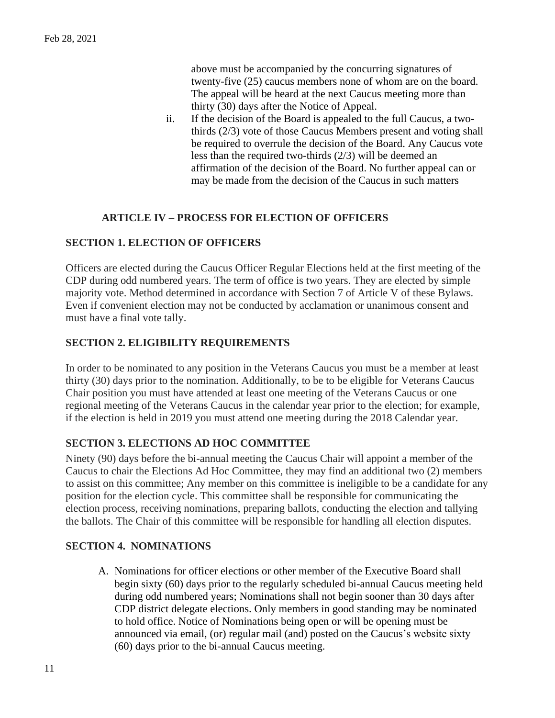above must be accompanied by the concurring signatures of twenty-five (25) caucus members none of whom are on the board. The appeal will be heard at the next Caucus meeting more than thirty (30) days after the Notice of Appeal.

ii. If the decision of the Board is appealed to the full Caucus, a twothirds (2/3) vote of those Caucus Members present and voting shall be required to overrule the decision of the Board. Any Caucus vote less than the required two-thirds (2/3) will be deemed an affirmation of the decision of the Board. No further appeal can or may be made from the decision of the Caucus in such matters

# **ARTICLE IV – PROCESS FOR ELECTION OF OFFICERS**

### **SECTION 1. ELECTION OF OFFICERS**

Officers are elected during the Caucus Officer Regular Elections held at the first meeting of the CDP during odd numbered years. The term of office is two years. They are elected by simple majority vote. Method determined in accordance with Section 7 of Article V of these Bylaws. Even if convenient election may not be conducted by acclamation or unanimous consent and must have a final vote tally.

### **SECTION 2. ELIGIBILITY REQUIREMENTS**

In order to be nominated to any position in the Veterans Caucus you must be a member at least thirty (30) days prior to the nomination. Additionally, to be to be eligible for Veterans Caucus Chair position you must have attended at least one meeting of the Veterans Caucus or one regional meeting of the Veterans Caucus in the calendar year prior to the election; for example, if the election is held in 2019 you must attend one meeting during the 2018 Calendar year.

# **SECTION 3. ELECTIONS AD HOC COMMITTEE**

Ninety (90) days before the bi-annual meeting the Caucus Chair will appoint a member of the Caucus to chair the Elections Ad Hoc Committee, they may find an additional two (2) members to assist on this committee; Any member on this committee is ineligible to be a candidate for any position for the election cycle. This committee shall be responsible for communicating the election process, receiving nominations, preparing ballots, conducting the election and tallying the ballots. The Chair of this committee will be responsible for handling all election disputes.

#### **SECTION 4. NOMINATIONS**

A. Nominations for officer elections or other member of the Executive Board shall begin sixty (60) days prior to the regularly scheduled bi-annual Caucus meeting held during odd numbered years; Nominations shall not begin sooner than 30 days after CDP district delegate elections. Only members in good standing may be nominated to hold office. Notice of Nominations being open or will be opening must be announced via email, (or) regular mail (and) posted on the Caucus's website sixty (60) days prior to the bi-annual Caucus meeting.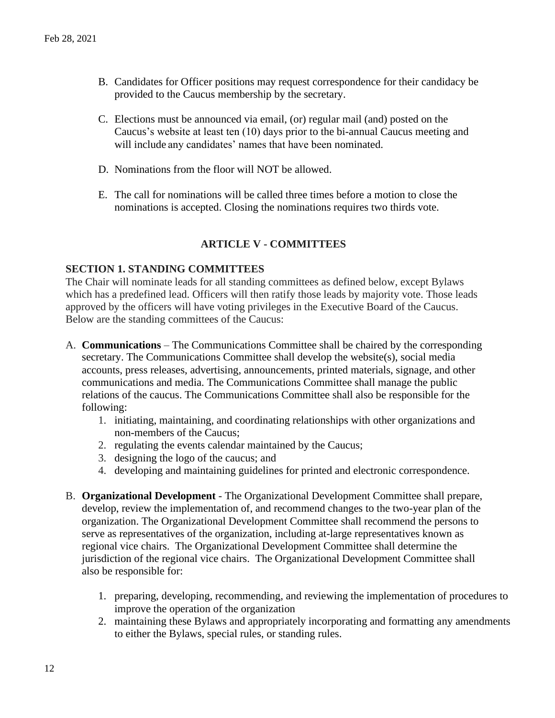- B. Candidates for Officer positions may request correspondence for their candidacy be provided to the Caucus membership by the secretary.
- C. Elections must be announced via email, (or) regular mail (and) posted on the Caucus's website at least ten (10) days prior to the bi-annual Caucus meeting and will include any candidates' names that have been nominated.
- D. Nominations from the floor will NOT be allowed.
- E. The call for nominations will be called three times before a motion to close the nominations is accepted. Closing the nominations requires two thirds vote.

# **ARTICLE V** - **COMMITTEES**

# **SECTION 1. STANDING COMMITTEES**

The Chair will nominate leads for all standing committees as defined below, except Bylaws which has a predefined lead. Officers will then ratify those leads by majority vote. Those leads approved by the officers will have voting privileges in the Executive Board of the Caucus. Below are the standing committees of the Caucus:

- A. **Communications**  The Communications Committee shall be chaired by the corresponding secretary. The Communications Committee shall develop the website(s), social media accounts, press releases, advertising, announcements, printed materials, signage, and other communications and media. The Communications Committee shall manage the public relations of the caucus. The Communications Committee shall also be responsible for the following:
	- 1. initiating, maintaining, and coordinating relationships with other organizations and non-members of the Caucus;
	- 2. regulating the events calendar maintained by the Caucus;
	- 3. designing the logo of the caucus; and
	- 4. developing and maintaining guidelines for printed and electronic correspondence.
- B. **Organizational Development** The Organizational Development Committee shall prepare, develop, review the implementation of, and recommend changes to the two-year plan of the organization. The Organizational Development Committee shall recommend the persons to serve as representatives of the organization, including at-large representatives known as regional vice chairs. The Organizational Development Committee shall determine the jurisdiction of the regional vice chairs. The Organizational Development Committee shall also be responsible for:
	- 1. preparing, developing, recommending, and reviewing the implementation of procedures to improve the operation of the organization
	- 2. maintaining these Bylaws and appropriately incorporating and formatting any amendments to either the Bylaws, special rules, or standing rules.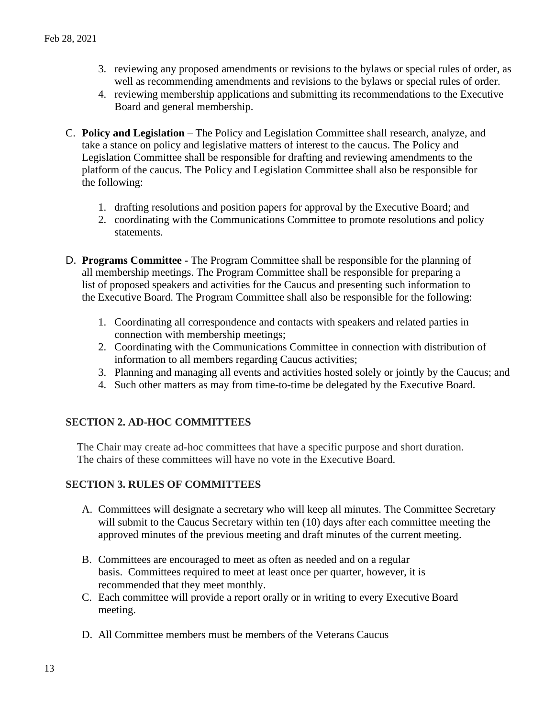- 3. reviewing any proposed amendments or revisions to the bylaws or special rules of order, as well as recommending amendments and revisions to the bylaws or special rules of order.
- 4. reviewing membership applications and submitting its recommendations to the Executive Board and general membership.
- C. **Policy and Legislation** The Policy and Legislation Committee shall research, analyze, and take a stance on policy and legislative matters of interest to the caucus. The Policy and Legislation Committee shall be responsible for drafting and reviewing amendments to the platform of the caucus. The Policy and Legislation Committee shall also be responsible for the following:
	- 1. drafting resolutions and position papers for approval by the Executive Board; and
	- 2. coordinating with the Communications Committee to promote resolutions and policy statements.
- D. **Programs Committee -** The Program Committee shall be responsible for the planning of all membership meetings. The Program Committee shall be responsible for preparing a list of proposed speakers and activities for the Caucus and presenting such information to the Executive Board. The Program Committee shall also be responsible for the following:
	- 1. Coordinating all correspondence and contacts with speakers and related parties in connection with membership meetings;
	- 2. Coordinating with the Communications Committee in connection with distribution of information to all members regarding Caucus activities;
	- 3. Planning and managing all events and activities hosted solely or jointly by the Caucus; and
	- 4. Such other matters as may from time-to-time be delegated by the Executive Board.

# **SECTION 2. AD-HOC COMMITTEES**

The Chair may create ad-hoc committees that have a specific purpose and short duration. The chairs of these committees will have no vote in the Executive Board.

# **SECTION 3. RULES OF COMMITTEES**

- A. Committees will designate a secretary who will keep all minutes. The Committee Secretary will submit to the Caucus Secretary within ten (10) days after each committee meeting the approved minutes of the previous meeting and draft minutes of the current meeting.
- B. Committees are encouraged to meet as often as needed and on a regular basis. Committees required to meet at least once per quarter, however, it is recommended that they meet monthly.
- C. Each committee will provide a report orally or in writing to every Executive Board meeting.
- D. All Committee members must be members of the Veterans Caucus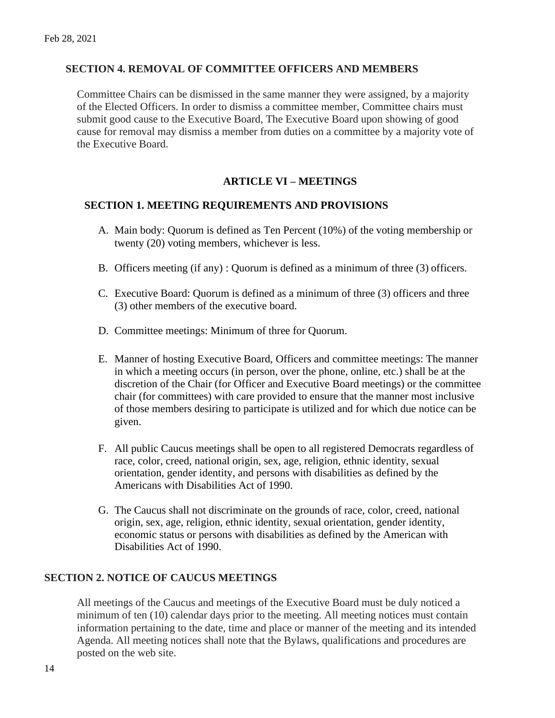### **SECTION 4. REMOVAL OF COMMITTEE OFFICERS AND MEMBERS**

Committee Chairs can be dismissed in the same manner they were assigned, by a majority of the Elected Officers. In order to dismiss a committee member, Committee chairs must submit good cause to the Executive Board, The Executive Board upon showing of good cause for removal may dismiss a member from duties on a committee by a majority vote of the Executive Board.

# **ARTICLE VI – MEETINGS**

#### **SECTION 1. MEETING REQUIREMENTS AND PROVISIONS**

- A. Main body: Quorum is defined as Ten Percent (10%) of the voting membership or twenty (20) voting members, whichever is less.
- B. Officers meeting (if any) : Quorum is defined as a minimum of three (3) officers.
- C. Executive Board: Quorum is defined as a minimum of three (3) officers and three (3) other members of the executive board.
- D. Committee meetings: Minimum of three for Quorum.
- E. Manner of hosting Executive Board, Officers and committee meetings: The manner in which a meeting occurs (in person, over the phone, online, etc.) shall be at the discretion of the Chair (for Officer and Executive Board meetings) or the committee chair (for committees) with care provided to ensure that the manner most inclusive of those members desiring to participate is utilized and for which due notice can be given.
- F. All public Caucus meetings shall be open to all registered Democrats regardless of race, color, creed, national origin, sex, age, religion, ethnic identity, sexual orientation, gender identity, and persons with disabilities as defined by the Americans with Disabilities Act of 1990.
- G. The Caucus shall not discriminate on the grounds of race, color, creed, national origin, sex, age, religion, ethnic identity, sexual orientation, gender identity, economic status or persons with disabilities as defined by the American with Disabilities Act of 1990.

#### **SECTION 2. NOTICE OF CAUCUS MEETINGS**

All meetings of the Caucus and meetings of the Executive Board must be duly noticed a minimum of ten (10) calendar days prior to the meeting. All meeting notices must contain information pertaining to the date, time and place or manner of the meeting and its intended Agenda. All meeting notices shall note that the Bylaws, qualifications and procedures are posted on the web site.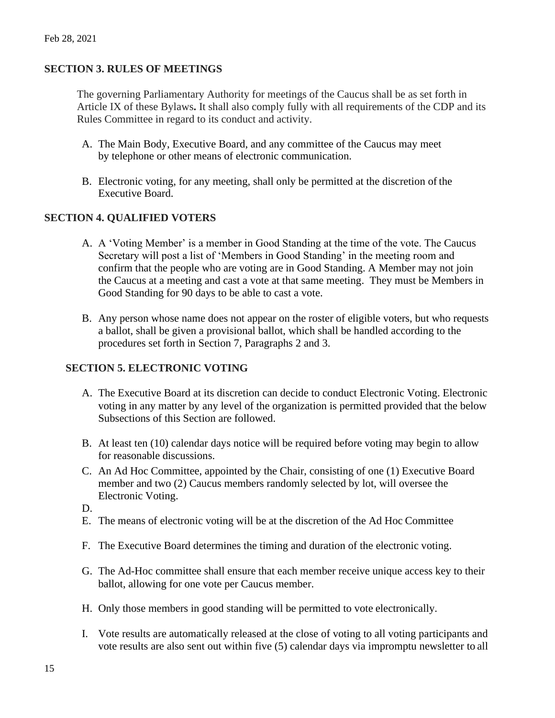# **SECTION 3. RULES OF MEETINGS**

The governing Parliamentary Authority for meetings of the Caucus shall be as set forth in Article IX of these Bylaws**.** It shall also comply fully with all requirements of the CDP and its Rules Committee in regard to its conduct and activity.

- A. The Main Body, Executive Board, and any committee of the Caucus may meet by telephone or other means of electronic communication.
- B. Electronic voting, for any meeting, shall only be permitted at the discretion of the Executive Board.

### **SECTION 4. QUALIFIED VOTERS**

- A. A 'Voting Member' is a member in Good Standing at the time of the vote. The Caucus Secretary will post a list of 'Members in Good Standing' in the meeting room and confirm that the people who are voting are in Good Standing. A Member may not join the Caucus at a meeting and cast a vote at that same meeting. They must be Members in Good Standing for 90 days to be able to cast a vote.
- B. Any person whose name does not appear on the roster of eligible voters, but who requests a ballot, shall be given a provisional ballot, which shall be handled according to the procedures set forth in Section 7, Paragraphs 2 and 3.

# **SECTION 5. ELECTRONIC VOTING**

- A. The Executive Board at its discretion can decide to conduct Electronic Voting. Electronic voting in any matter by any level of the organization is permitted provided that the below Subsections of this Section are followed.
- B. At least ten (10) calendar days notice will be required before voting may begin to allow for reasonable discussions.
- C. An Ad Hoc Committee, appointed by the Chair, consisting of one (1) Executive Board member and two (2) Caucus members randomly selected by lot, will oversee the Electronic Voting.
- D.
- E. The means of electronic voting will be at the discretion of the Ad Hoc Committee
- F. The Executive Board determines the timing and duration of the electronic voting.
- G. The Ad-Hoc committee shall ensure that each member receive unique access key to their ballot, allowing for one vote per Caucus member.
- H. Only those members in good standing will be permitted to vote electronically.
- I. Vote results are automatically released at the close of voting to all voting participants and vote results are also sent out within five (5) calendar days via impromptu newsletter to all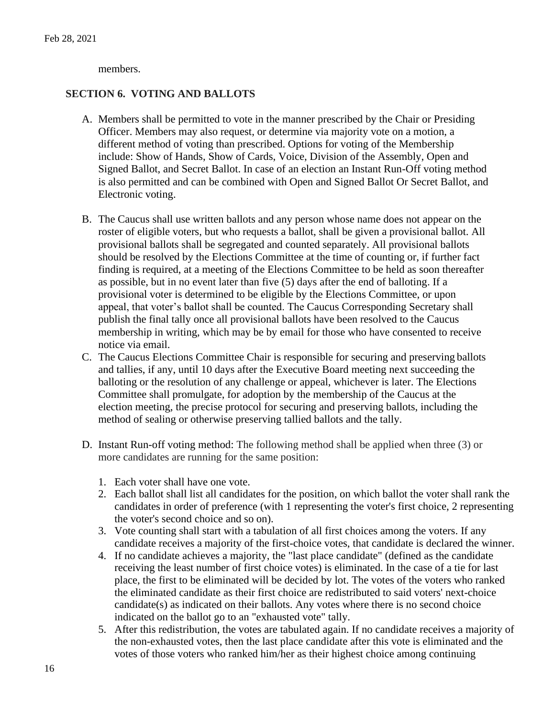members.

# **SECTION 6. VOTING AND BALLOTS**

- A. Members shall be permitted to vote in the manner prescribed by the Chair or Presiding Officer. Members may also request, or determine via majority vote on a motion, a different method of voting than prescribed. Options for voting of the Membership include: Show of Hands, Show of Cards, Voice, Division of the Assembly, Open and Signed Ballot, and Secret Ballot. In case of an election an Instant Run-Off voting method is also permitted and can be combined with Open and Signed Ballot Or Secret Ballot, and Electronic voting.
- B. The Caucus shall use written ballots and any person whose name does not appear on the roster of eligible voters, but who requests a ballot, shall be given a provisional ballot. All provisional ballots shall be segregated and counted separately. All provisional ballots should be resolved by the Elections Committee at the time of counting or, if further fact finding is required, at a meeting of the Elections Committee to be held as soon thereafter as possible, but in no event later than five (5) days after the end of balloting. If a provisional voter is determined to be eligible by the Elections Committee, or upon appeal, that voter's ballot shall be counted. The Caucus Corresponding Secretary shall publish the final tally once all provisional ballots have been resolved to the Caucus membership in writing, which may be by email for those who have consented to receive notice via email.
- C. The Caucus Elections Committee Chair is responsible for securing and preserving ballots and tallies, if any, until 10 days after the Executive Board meeting next succeeding the balloting or the resolution of any challenge or appeal, whichever is later. The Elections Committee shall promulgate, for adoption by the membership of the Caucus at the election meeting, the precise protocol for securing and preserving ballots, including the method of sealing or otherwise preserving tallied ballots and the tally.
- D. Instant Run-off voting method: The following method shall be applied when three (3) or more candidates are running for the same position:
	- 1. Each voter shall have one vote.
	- 2. Each ballot shall list all candidates for the position, on which ballot the voter shall rank the candidates in order of preference (with 1 representing the voter's first choice, 2 representing the voter's second choice and so on).
	- 3. Vote counting shall start with a tabulation of all first choices among the voters. If any candidate receives a majority of the first-choice votes, that candidate is declared the winner.
	- 4. If no candidate achieves a majority, the "last place candidate" (defined as the candidate receiving the least number of first choice votes) is eliminated. In the case of a tie for last place, the first to be eliminated will be decided by lot. The votes of the voters who ranked the eliminated candidate as their first choice are redistributed to said voters' next-choice candidate(s) as indicated on their ballots. Any votes where there is no second choice indicated on the ballot go to an "exhausted vote" tally.
	- 5. After this redistribution, the votes are tabulated again. If no candidate receives a majority of the non-exhausted votes, then the last place candidate after this vote is eliminated and the votes of those voters who ranked him/her as their highest choice among continuing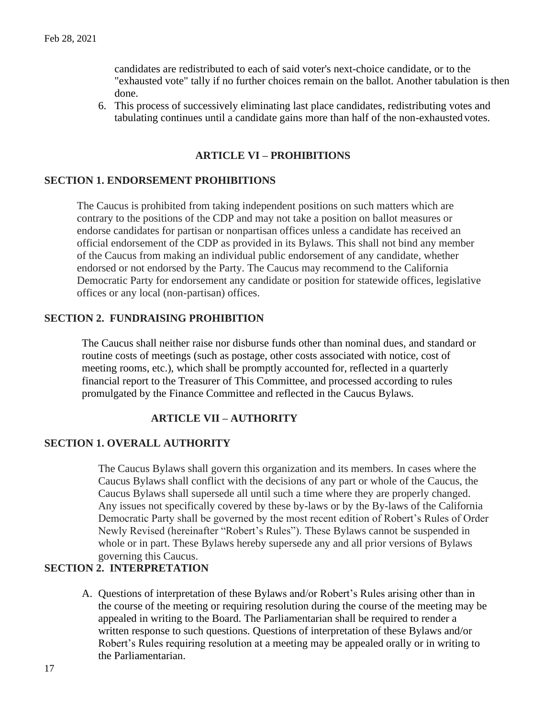candidates are redistributed to each of said voter's next-choice candidate, or to the "exhausted vote" tally if no further choices remain on the ballot. Another tabulation is then done.

6. This process of successively eliminating last place candidates, redistributing votes and tabulating continues until a candidate gains more than half of the non-exhausted votes.

# **ARTICLE VI – PROHIBITIONS**

# **SECTION 1. ENDORSEMENT PROHIBITIONS**

The Caucus is prohibited from taking independent positions on such matters which are contrary to the positions of the CDP and may not take a position on ballot measures or endorse candidates for partisan or nonpartisan offices unless a candidate has received an official endorsement of the CDP as provided in its Bylaws. This shall not bind any member of the Caucus from making an individual public endorsement of any candidate, whether endorsed or not endorsed by the Party. The Caucus may recommend to the California Democratic Party for endorsement any candidate or position for statewide offices, legislative offices or any local (non-partisan) offices.

#### **SECTION 2. FUNDRAISING PROHIBITION**

The Caucus shall neither raise nor disburse funds other than nominal dues, and standard or routine costs of meetings (such as postage, other costs associated with notice, cost of meeting rooms, etc.), which shall be promptly accounted for, reflected in a quarterly financial report to the Treasurer of This Committee, and processed according to rules promulgated by the Finance Committee and reflected in the Caucus Bylaws.

### **ARTICLE VII – AUTHORITY**

#### **SECTION 1. OVERALL AUTHORITY**

The Caucus Bylaws shall govern this organization and its members. In cases where the Caucus Bylaws shall conflict with the decisions of any part or whole of the Caucus, the Caucus Bylaws shall supersede all until such a time where they are properly changed. Any issues not specifically covered by these by-laws or by the By-laws of the California Democratic Party shall be governed by the most recent edition of Robert's Rules of Order Newly Revised (hereinafter "Robert's Rules"). These Bylaws cannot be suspended in whole or in part. These Bylaws hereby supersede any and all prior versions of Bylaws governing this Caucus.

# **SECTION 2. INTERPRETATION**

A. Questions of interpretation of these Bylaws and/or Robert's Rules arising other than in the course of the meeting or requiring resolution during the course of the meeting may be appealed in writing to the Board. The Parliamentarian shall be required to render a written response to such questions. Questions of interpretation of these Bylaws and/or Robert's Rules requiring resolution at a meeting may be appealed orally or in writing to the Parliamentarian.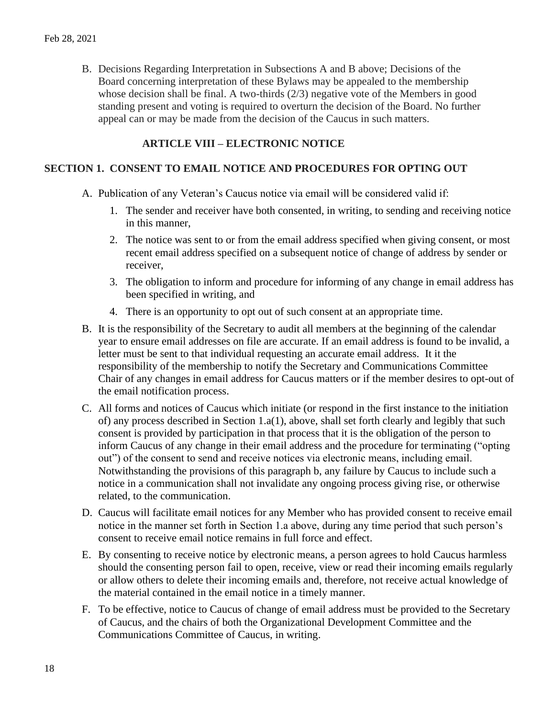B. Decisions Regarding Interpretation in Subsections A and B above; Decisions of the Board concerning interpretation of these Bylaws may be appealed to the membership whose decision shall be final. A two-thirds (2/3) negative vote of the Members in good standing present and voting is required to overturn the decision of the Board. No further appeal can or may be made from the decision of the Caucus in such matters.

# **ARTICLE VIII – ELECTRONIC NOTICE**

### **SECTION 1. CONSENT TO EMAIL NOTICE AND PROCEDURES FOR OPTING OUT**

- A. Publication of any Veteran's Caucus notice via email will be considered valid if:
	- 1. The sender and receiver have both consented, in writing, to sending and receiving notice in this manner,
	- 2. The notice was sent to or from the email address specified when giving consent, or most recent email address specified on a subsequent notice of change of address by sender or receiver,
	- 3. The obligation to inform and procedure for informing of any change in email address has been specified in writing, and
	- 4. There is an opportunity to opt out of such consent at an appropriate time.
- B. It is the responsibility of the Secretary to audit all members at the beginning of the calendar year to ensure email addresses on file are accurate. If an email address is found to be invalid, a letter must be sent to that individual requesting an accurate email address. It it the responsibility of the membership to notify the Secretary and Communications Committee Chair of any changes in email address for Caucus matters or if the member desires to opt-out of the email notification process.
- C. All forms and notices of Caucus which initiate (or respond in the first instance to the initiation of) any process described in Section 1.a(1), above, shall set forth clearly and legibly that such consent is provided by participation in that process that it is the obligation of the person to inform Caucus of any change in their email address and the procedure for terminating ("opting out") of the consent to send and receive notices via electronic means, including email. Notwithstanding the provisions of this paragraph b, any failure by Caucus to include such a notice in a communication shall not invalidate any ongoing process giving rise, or otherwise related, to the communication.
- D. Caucus will facilitate email notices for any Member who has provided consent to receive email notice in the manner set forth in Section 1.a above, during any time period that such person's consent to receive email notice remains in full force and effect.
- E. By consenting to receive notice by electronic means, a person agrees to hold Caucus harmless should the consenting person fail to open, receive, view or read their incoming emails regularly or allow others to delete their incoming emails and, therefore, not receive actual knowledge of the material contained in the email notice in a timely manner.
- F. To be effective, notice to Caucus of change of email address must be provided to the Secretary of Caucus, and the chairs of both the Organizational Development Committee and the Communications Committee of Caucus, in writing.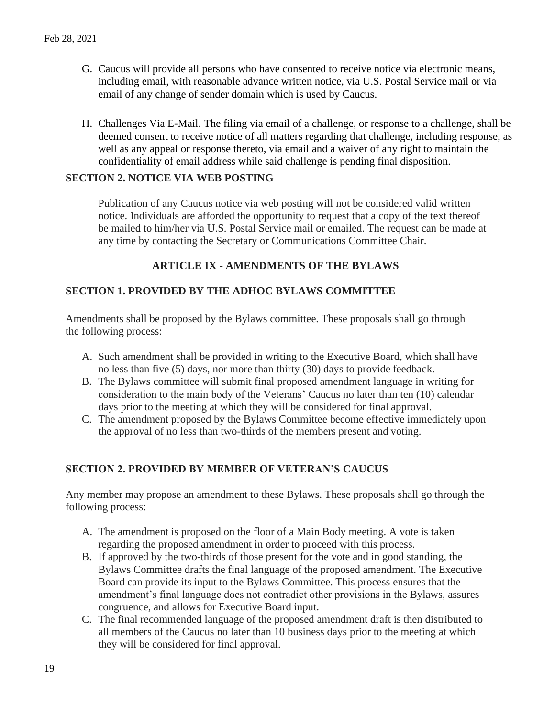- G. Caucus will provide all persons who have consented to receive notice via electronic means, including email, with reasonable advance written notice, via U.S. Postal Service mail or via email of any change of sender domain which is used by Caucus.
- H. Challenges Via E-Mail. The filing via email of a challenge, or response to a challenge, shall be deemed consent to receive notice of all matters regarding that challenge, including response, as well as any appeal or response thereto, via email and a waiver of any right to maintain the confidentiality of email address while said challenge is pending final disposition.

### **SECTION 2. NOTICE VIA WEB POSTING**

Publication of any Caucus notice via web posting will not be considered valid written notice. Individuals are afforded the opportunity to request that a copy of the text thereof be mailed to him/her via U.S. Postal Service mail or emailed. The request can be made at any time by contacting the Secretary or Communications Committee Chair.

# **ARTICLE IX - AMENDMENTS OF THE BYLAWS**

### **SECTION 1. PROVIDED BY THE ADHOC BYLAWS COMMITTEE**

Amendments shall be proposed by the Bylaws committee. These proposals shall go through the following process:

- A. Such amendment shall be provided in writing to the Executive Board, which shall have no less than five (5) days, nor more than thirty (30) days to provide feedback.
- B. The Bylaws committee will submit final proposed amendment language in writing for consideration to the main body of the Veterans' Caucus no later than ten (10) calendar days prior to the meeting at which they will be considered for final approval.
- C. The amendment proposed by the Bylaws Committee become effective immediately upon the approval of no less than two-thirds of the members present and voting.

# **SECTION 2. PROVIDED BY MEMBER OF VETERAN'S CAUCUS**

Any member may propose an amendment to these Bylaws. These proposals shall go through the following process:

- A. The amendment is proposed on the floor of a Main Body meeting. A vote is taken regarding the proposed amendment in order to proceed with this process.
- B. If approved by the two-thirds of those present for the vote and in good standing, the Bylaws Committee drafts the final language of the proposed amendment. The Executive Board can provide its input to the Bylaws Committee. This process ensures that the amendment's final language does not contradict other provisions in the Bylaws, assures congruence, and allows for Executive Board input.
- C. The final recommended language of the proposed amendment draft is then distributed to all members of the Caucus no later than 10 business days prior to the meeting at which they will be considered for final approval.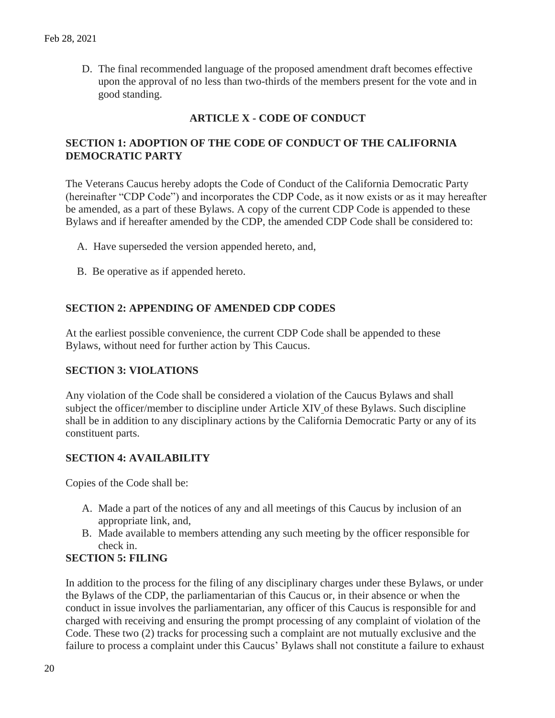D. The final recommended language of the proposed amendment draft becomes effective upon the approval of no less than two-thirds of the members present for the vote and in good standing.

# **ARTICLE X - CODE OF CONDUCT**

# **SECTION 1: ADOPTION OF THE CODE OF CONDUCT OF THE CALIFORNIA DEMOCRATIC PARTY**

The Veterans Caucus hereby adopts the Code of Conduct of the California Democratic Party (hereinafter "CDP Code") and incorporates the CDP Code, as it now exists or as it may hereafter be amended, as a part of these Bylaws. A copy of the current CDP Code is appended to these Bylaws and if hereafter amended by the CDP, the amended CDP Code shall be considered to:

- A. Have superseded the version appended hereto, and,
- B. Be operative as if appended hereto.

# **SECTION 2: APPENDING OF AMENDED CDP CODES**

At the earliest possible convenience, the current CDP Code shall be appended to these Bylaws, without need for further action by This Caucus.

# **SECTION 3: VIOLATIONS**

Any violation of the Code shall be considered a violation of the Caucus Bylaws and shall subject the officer/member to discipline under Article XIV of these Bylaws. Such discipline shall be in addition to any disciplinary actions by the California Democratic Party or any of its constituent parts.

# **SECTION 4: AVAILABILITY**

Copies of the Code shall be:

- A. Made a part of the notices of any and all meetings of this Caucus by inclusion of an appropriate link, and,
- B. Made available to members attending any such meeting by the officer responsible for check in.

# **SECTION 5: FILING**

In addition to the process for the filing of any disciplinary charges under these Bylaws, or under the Bylaws of the CDP, the parliamentarian of this Caucus or, in their absence or when the conduct in issue involves the parliamentarian, any officer of this Caucus is responsible for and charged with receiving and ensuring the prompt processing of any complaint of violation of the Code. These two (2) tracks for processing such a complaint are not mutually exclusive and the failure to process a complaint under this Caucus' Bylaws shall not constitute a failure to exhaust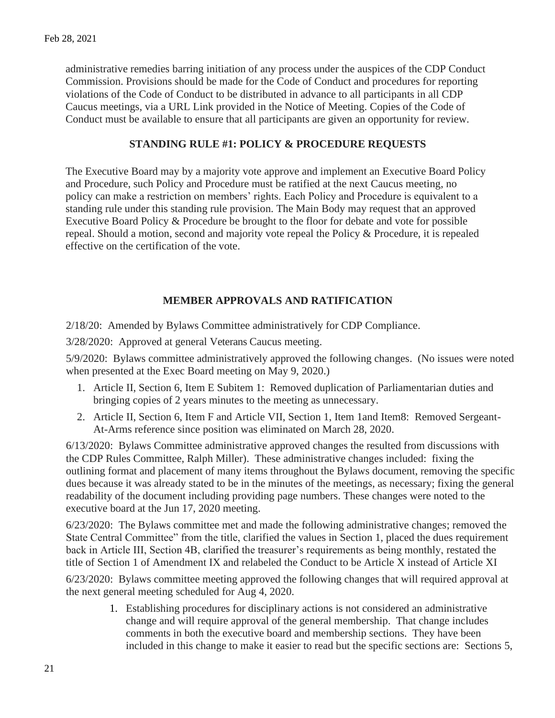administrative remedies barring initiation of any process under the auspices of the CDP Conduct Commission. Provisions should be made for the Code of Conduct and procedures for reporting violations of the Code of Conduct to be distributed in advance to all participants in all CDP Caucus meetings, via a URL Link provided in the Notice of Meeting. Copies of the Code of Conduct must be available to ensure that all participants are given an opportunity for review.

# **STANDING RULE #1: POLICY & PROCEDURE REQUESTS**

The Executive Board may by a majority vote approve and implement an Executive Board Policy and Procedure, such Policy and Procedure must be ratified at the next Caucus meeting, no policy can make a restriction on members' rights. Each Policy and Procedure is equivalent to a standing rule under this standing rule provision. The Main Body may request that an approved Executive Board Policy & Procedure be brought to the floor for debate and vote for possible repeal. Should a motion, second and majority vote repeal the Policy & Procedure, it is repealed effective on the certification of the vote.

# **MEMBER APPROVALS AND RATIFICATION**

2/18/20: Amended by Bylaws Committee administratively for CDP Compliance.

3/28/2020: Approved at general Veterans Caucus meeting.

5/9/2020: Bylaws committee administratively approved the following changes. (No issues were noted when presented at the Exec Board meeting on May 9, 2020.)

- 1. Article II, Section 6, Item E Subitem 1: Removed duplication of Parliamentarian duties and bringing copies of 2 years minutes to the meeting as unnecessary.
- 2. Article II, Section 6, Item F and Article VII, Section 1, Item 1and Item8: Removed Sergeant-At-Arms reference since position was eliminated on March 28, 2020.

6/13/2020: Bylaws Committee administrative approved changes the resulted from discussions with the CDP Rules Committee, Ralph Miller). These administrative changes included: fixing the outlining format and placement of many items throughout the Bylaws document, removing the specific dues because it was already stated to be in the minutes of the meetings, as necessary; fixing the general readability of the document including providing page numbers. These changes were noted to the executive board at the Jun 17, 2020 meeting.

6/23/2020: The Bylaws committee met and made the following administrative changes; removed the State Central Committee" from the title, clarified the values in Section 1, placed the dues requirement back in Article III, Section 4B, clarified the treasurer's requirements as being monthly, restated the title of Section 1 of Amendment IX and relabeled the Conduct to be Article X instead of Article XI

6/23/2020: Bylaws committee meeting approved the following changes that will required approval at the next general meeting scheduled for Aug 4, 2020.

1. Establishing procedures for disciplinary actions is not considered an administrative change and will require approval of the general membership. That change includes comments in both the executive board and membership sections. They have been included in this change to make it easier to read but the specific sections are: Sections 5,